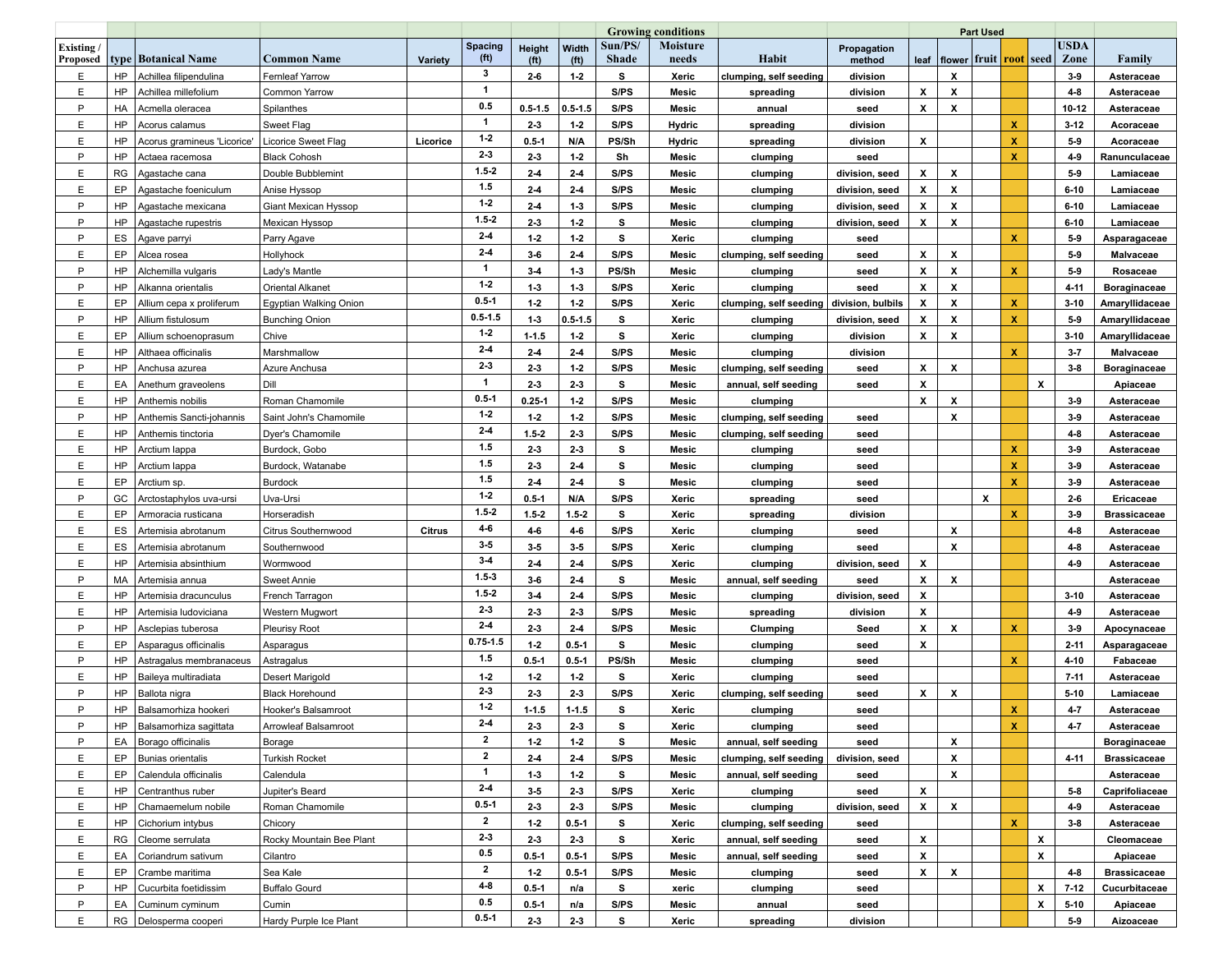|                             |           |                             |                          |               |                 | <b>Growing conditions</b> |                            |                         |                          | Part Used              |                       |                    |                                             |   |              |   |                     |                     |
|-----------------------------|-----------|-----------------------------|--------------------------|---------------|-----------------|---------------------------|----------------------------|-------------------------|--------------------------|------------------------|-----------------------|--------------------|---------------------------------------------|---|--------------|---|---------------------|---------------------|
| <b>Existing</b><br>Proposed |           | type   Botanical Name       | <b>Common Name</b>       | Variety       | Spacing<br>(ft) | Height<br>(ft)            | Width<br>(f <sup>t</sup> ) | Sun/PS/<br><b>Shade</b> | <b>Moisture</b><br>needs | Habit                  | Propagation<br>method |                    | leaf  flower fruit  <mark>root</mark>  seed |   |              |   | <b>USDA</b><br>Zone | Family              |
| E                           | HP        | Achillea filipendulina      | <b>Fernleaf Yarrow</b>   |               | 3               | $2-6$                     | $1-2$                      | s                       | Xeric                    | clumping, self seeding | division              |                    | X                                           |   |              |   | $3-9$               | Asteraceae          |
| E                           | HP        | Achillea millefolium        | Common Yarrow            |               | $\mathbf{1}$    |                           |                            | S/PS                    | Mesic                    | spreading              | division              | X                  | X                                           |   |              |   | $4 - 8$             | Asteraceae          |
| P                           | HA        | Acmella oleracea            | Spilanthes               |               | 0.5             | $0.5 - 1.5$               | $0.5 - 1.5$                | S/PS                    | Mesic                    | annual                 | seed                  | X                  | X                                           |   |              |   | 10-12               | Asteraceae          |
| E                           | HP        | Acorus calamus              | Sweet Flag               |               | $\mathbf{1}$    | $2-3$                     | $1-2$                      | S/PS                    | <b>Hydric</b>            | spreading              | division              |                    |                                             |   | x            |   | $3 - 12$            | Acoraceae           |
| E                           | HP        | Acorus gramineus 'Licorice' | Licorice Sweet Flag      | Licorice      | $1-2$           | $0.5 - 1$                 | N/A                        | PS/Sh                   | Hydric                   | spreading              | division              | x                  |                                             |   | х            |   | $5-9$               | Acoraceae           |
| P                           | HP        | Actaea racemosa             | <b>Black Cohosh</b>      |               | $2-3$           | $2-3$                     | $1-2$                      | Sh                      | Mesic                    | clumping               | seed                  |                    |                                             |   | x            |   | $4-9$               | Ranunculaceae       |
| E                           | RG        | Agastache cana              | Double Bubblemint        |               | $1.5 - 2$       | $2-4$                     | $2-4$                      | S/PS                    | Mesic                    | clumping               | division, seed        | x                  | X                                           |   |              |   | $5-9$               | Lamiaceae           |
| E                           | EP        | Agastache foeniculum        | Anise Hyssop             |               | 1.5             | $2-4$                     | $2-4$                      | S/PS                    | Mesic                    | clumping               | division, seed        | x                  | X                                           |   |              |   | $6 - 10$            | Lamiaceae           |
| P                           | HP        | Agastache mexicana          | Giant Mexican Hyssop     |               | $1-2$           | $2-4$                     | $1-3$                      | S/PS                    | Mesic                    | clumping               | division, seed        | X                  | X                                           |   |              |   | $6 - 10$            | Lamiaceae           |
| P                           | HP        | Agastache rupestris         | <b>Mexican Hyssop</b>    |               | $1.5 - 2$       | $2-3$                     | $1-2$                      | s                       | Mesic                    | clumping               | division, seed        | x                  | X                                           |   |              |   | $6 - 10$            | Lamiaceae           |
| P                           | ES        | Agave parryi                | Parry Agave              |               | $2-4$           | $1-2$                     | $1-2$                      | s                       | Xeric                    | clumping               | seed                  |                    |                                             |   | x            |   | $5-9$               | Asparagaceae        |
| Ε                           | EP        | Alcea rosea                 | Hollyhock                |               | $2-4$           | $3-6$                     | $2-4$                      | S/PS                    | Mesic                    | clumping, self seeding | seed                  | $\pmb{\mathsf{x}}$ | X                                           |   |              |   | $5-9$               | Malvaceae           |
| P                           | HP        | Alchemilla vulgaris         | Lady's Mantle            |               | -1              | $3-4$                     | $1-3$                      | PS/Sh                   | Mesic                    | clumping               | seed                  | X                  | X                                           |   | x            |   | $5-9$               | Rosaceae            |
| P                           | <b>HP</b> | Alkanna orientalis          | Oriental Alkanet         |               | $1-2$           | $1-3$                     | $1-3$                      | S/PS                    | Xeric                    | clumping               | seed                  | X                  | X                                           |   |              |   | $4 - 11$            | Boraginaceae        |
| E                           | EP        | Allium cepa x proliferum    | Egyptian Walking Onion   |               | $0.5 - 1$       | $1-2$                     | $1-2$                      | S/PS                    | Xeric                    | clumping, self seeding | division, bulbils     | X                  | X                                           |   | x            |   | $3 - 10$            | Amaryllidaceae      |
| P                           | HP        | Allium fistulosum           | <b>Bunching Onion</b>    |               | $0.5 - 1.5$     | $1-3$                     | $0.5 - 1.5$                | s                       | Xeric                    | clumping               | division, seed        | X                  | X                                           |   | x            |   | $5-9$               | Amaryllidaceae      |
| E                           | EP        | Allium schoenoprasum        | Chive                    |               | $1 - 2$         | $1 - 1.5$                 | $1-2$                      | s                       | Xeric                    | clumping               | division              | X                  | X                                           |   |              |   | $3 - 10$            | Amaryllidaceae      |
| E                           | HP        | Althaea officinalis         | Marshmallow              |               | $2-4$           | $2-4$                     | $2-4$                      | S/PS                    | Mesic                    | clumping               | division              |                    |                                             |   | x            |   | $3 - 7$             | Malvaceae           |
| P                           | <b>HP</b> | Anchusa azurea              | Azure Anchusa            |               | $2-3$           | $2-3$                     | $1-2$                      | S/PS                    | Mesic                    | clumping, self seeding | seed                  | X                  | X                                           |   |              |   | $3-8$               | Boraginaceae        |
| E                           | EA        | Anethum graveolens          | Dill                     |               | $\mathbf{1}$    | $2-3$                     | $2-3$                      | s                       | Mesic                    | annual, self seeding   | seed                  | X                  |                                             |   |              | X |                     | Apiaceae            |
| E                           | HP        | Anthemis nobilis            | Roman Chamomile          |               | $0.5 - 1$       | $0.25 - 1$                | $1-2$                      | S/PS                    | Mesic                    | clumping               |                       | X                  | X                                           |   |              |   | $3-9$               | Asteraceae          |
| P                           | HP        | Anthemis Sancti-johannis    | Saint John's Chamomile   |               | $1-2$           | $1-2$                     | $1-2$                      | S/PS                    | Mesic                    | clumping, self seeding | seed                  |                    | X                                           |   |              |   | $3-9$               | Asteraceae          |
| E                           | HP        | Anthemis tinctoria          | Dyer's Chamomile         |               | $2-4$           | $1.5 - 2$                 | 23                         | S/PS                    | Mesic                    | clumping, self seeding | seed                  |                    |                                             |   |              |   | $4 - 8$             | Asteraceae          |
| E                           | HP        | Arctium lappa               | Burdock, Gobo            |               | 1.5             | $2-3$                     | $2-3$                      | s                       | Mesic                    | clumping               | seed                  |                    |                                             |   | x            |   | $3-9$               | Asteraceae          |
| E                           | HP        | Arctium lappa               | Burdock, Watanabe        |               | 1.5             | $2-3$                     | $2-4$                      | s                       | Mesic                    | clumping               | seed                  |                    |                                             |   | x            |   | $3-9$               | Asteraceae          |
| E.                          | EP        | Arctium sp.                 | <b>Burdock</b>           |               | 1.5             | $2-4$                     | $2-4$                      | s                       | Mesic                    | clumping               | seed                  |                    |                                             |   | x            |   | $3-9$               | Asteraceae          |
| P                           | GC        | Arctostaphylos uva-ursi     | Uva-Ursi                 |               | $1-2$           | $0.5 - 1$                 | N/A                        | S/PS                    | Xeric                    | spreading              | seed                  |                    |                                             | X |              |   | $2-6$               | Ericaceae           |
| E                           | EP        | Armoracia rusticana         | Horseradish              |               | $1.5 - 2$       | $1.5 - 2$                 | $1.5 - 2$                  | s                       | Xeric                    | spreading              | division              |                    |                                             |   | x            |   | $3-9$               | <b>Brassicaceae</b> |
| E                           | ES        | Artemisia abrotanum         | Citrus Southernwood      | <b>Citrus</b> | $4-6$           | $4-6$                     | $4-6$                      | S/PS                    | Xeric                    | clumping               | seed                  |                    | X                                           |   |              |   | $4 - 8$             | Asteraceae          |
| E                           | ES        | Artemisia abrotanum         | Southernwood             |               | $3-5$           | $3-5$                     | $3-5$                      | S/PS                    | Xeric                    | clumping               | seed                  |                    | X                                           |   |              |   | $4 - 8$             | Asteraceae          |
| E                           | HP        | Artemisia absinthium        | Wormwood                 |               | $3-4$           | $2-4$                     | $2-4$                      | S/PS                    | Xeric                    | clumping               | division, seed        | x                  |                                             |   |              |   | $4-9$               | Asteraceae          |
| P                           | МA        | Artemisia annua             | <b>Sweet Annie</b>       |               | $1.5-3$         | $3-6$                     | $2-4$                      | s                       | Mesic                    | annual, self seeding   | seed                  | x                  | X                                           |   |              |   |                     | Asteraceae          |
| E                           | HP        | Artemisia dracunculus       | French Tarragon          |               | $1.5 - 2$       | $3 - 4$                   | $2-4$                      | S/PS                    | Mesic                    | clumping               | division, seed        | x                  |                                             |   |              |   | $3 - 10$            | Asteraceae          |
| E.                          | HP        | Artemisia ludoviciana       | Western Mugwort          |               | $2-3$           | $2-3$                     | $2-3$                      | S/PS                    | Mesic                    | spreading              | division              | x                  |                                             |   |              |   | $4-9$               | Asteraceae          |
| P                           | HP        | Asclepias tuberosa          | <b>Pleurisy Root</b>     |               | $2-4$           | $2-3$                     | $2-4$                      | S/PS                    | Mesic                    | Clumping               | Seed                  | x                  | X                                           |   | $\mathbf{x}$ |   | $3-9$               | Apocynaceae         |
| E                           | EP        | Asparagus officinalis       | Asparagus                |               | $0.75 - 1.5$    | $1-2$                     | $0.5 - 1$                  | s                       | Mesic                    | clumping               | seed                  | X                  |                                             |   |              |   | $2 - 11$            | Asparagaceae        |
| P                           | HP        | Astragalus membranaceus     | Astragalus               |               | 1.5             | $0.5 - 1$                 | $0.5 - 1$                  | PS/Sh                   | Mesic                    | clumping               | seed                  |                    |                                             |   | x            |   | $4 - 10$            | Fabaceae            |
| E                           | HP        | Baileya multiradiata        | Desert Marigold          |               | $1-2$           | 1.2                       | $1-2$                      | s                       | Xeric                    | clumping               | seed                  |                    |                                             |   |              |   | $7 - 11$            | Asteraceae          |
| P                           | HP        | Ballota nigra               | <b>Black Horehound</b>   |               | $2-3$           | $2-3$                     | $2-3$                      | S/PS                    | Xeric                    | clumping, self seeding | seed                  | x                  | X                                           |   |              |   | $5 - 10$            | Lamiaceae           |
| P                           | HP        | Balsamorhiza hookeri        | Hooker's Balsamroot      |               | $1-2$           | $1 - 1.5$                 | $1 - 1.5$                  | s                       | Xeric                    | clumping               | seed                  |                    |                                             |   | x            |   | $4 - 7$             | Asteraceae          |
| P                           | HP        | Balsamorhiza sagittata      | Arrowleaf Balsamroot     |               | 2-4             | 23                        | $2 - 3$                    | s                       | Xeric                    | clumping               | seed                  |                    |                                             |   | x            |   | $4-7$               | Asteraceae          |
| P                           | EA        | Borago officinalis          | Borage                   |               | $\mathbf{2}$    | $1-2$                     | $1-2$                      | s                       | Mesic                    | annual, self seeding   | seed                  |                    | X                                           |   |              |   |                     | Boraginaceae        |
| E                           | EP        | Bunias orientalis           | <b>Turkish Rocket</b>    |               | $\mathbf{2}$    | $2-4$                     | $2-4$                      | S/PS                    | Mesic                    | clumping, self seeding | division, seed        |                    | X                                           |   |              |   | 4-11                | <b>Brassicaceae</b> |
| E                           | EP        | Calendula officinalis       | Calendula                |               | $\mathbf{1}$    | $1 - 3$                   | $1 - 2$                    | s                       | Mesic                    | annual, self seeding   | seed                  |                    | $\pmb{\mathsf{x}}$                          |   |              |   |                     | Asteraceae          |
| E                           | HP        | Centranthus ruber           | Jupiter's Beard          |               | $2-4$           | $3-5$                     | $2-3$                      | S/PS                    | Xeric                    | clumping               | seed                  | $\boldsymbol{x}$   |                                             |   |              |   | $5-8$               | Caprifoliaceae      |
| E                           | HP        | Chamaemelum nobile          | Roman Chamomile          |               | $0.5 - 1$       | $2-3$                     | $2-3$                      | S/PS                    | Mesic                    | clumping               | division, seed        | x                  | X                                           |   |              |   | 4-9                 | Asteraceae          |
| Ε                           | HP        | Cichorium intybus           | Chicory                  |               | $\mathbf{2}$    | $1-2$                     | $0.5 - 1$                  | s                       | Xeric                    | clumping, self seeding | seed                  |                    |                                             |   | x            |   | $3-8$               | Asteraceae          |
| E.                          | RG        | Cleome serrulata            | Rocky Mountain Bee Plant |               | $2-3$           | $2-3$                     | $2 - 3$                    | s                       | Xeric                    | annual, self seeding   | seed                  | X                  |                                             |   |              | X |                     | Cleomaceae          |
| E                           | EA        | Coriandrum sativum          | Cilantro                 |               | 0.5             | $0.5 - 1$                 | $0.5 - 1$                  | S/PS                    | Mesic                    | annual, self seeding   | seed                  | X                  |                                             |   |              | X |                     | Apiaceae            |
| E                           | EP        | Crambe maritima             | Sea Kale                 |               | $\mathbf{2}$    | $1 - 2$                   | $0.5 - 1$                  | S/PS                    | Mesic                    |                        |                       | x                  | X                                           |   |              |   | $4 - 8$             | <b>Brassicaceae</b> |
| P                           | HP        | Cucurbita foetidissim       | <b>Buffalo Gourd</b>     |               | $4 - 8$         | $0.5 - 1$                 | n/a                        | s                       |                          | clumping               | seed                  |                    |                                             |   |              | X | $7-12$              | Cucurbitaceae       |
| P                           | EA        | Cuminum cyminum             |                          |               | 0.5             |                           |                            | S/PS                    | xeric                    | clumping               | seed                  |                    |                                             |   |              | X |                     |                     |
|                             |           |                             | Cumin                    |               | $0.5 - 1$       | $0.5 - 1$                 | n/a                        |                         | Mesic                    | annual                 | seed                  |                    |                                             |   |              |   | $5 - 10$            | Apiaceae            |
| E                           |           | RG Delosperma cooperi       | Hardy Purple Ice Plant   |               |                 | $2 - 3$                   | $2-3$                      | s                       | Xeric                    | spreading              | division              |                    |                                             |   |              |   | $5-9$               | Aizoaceae           |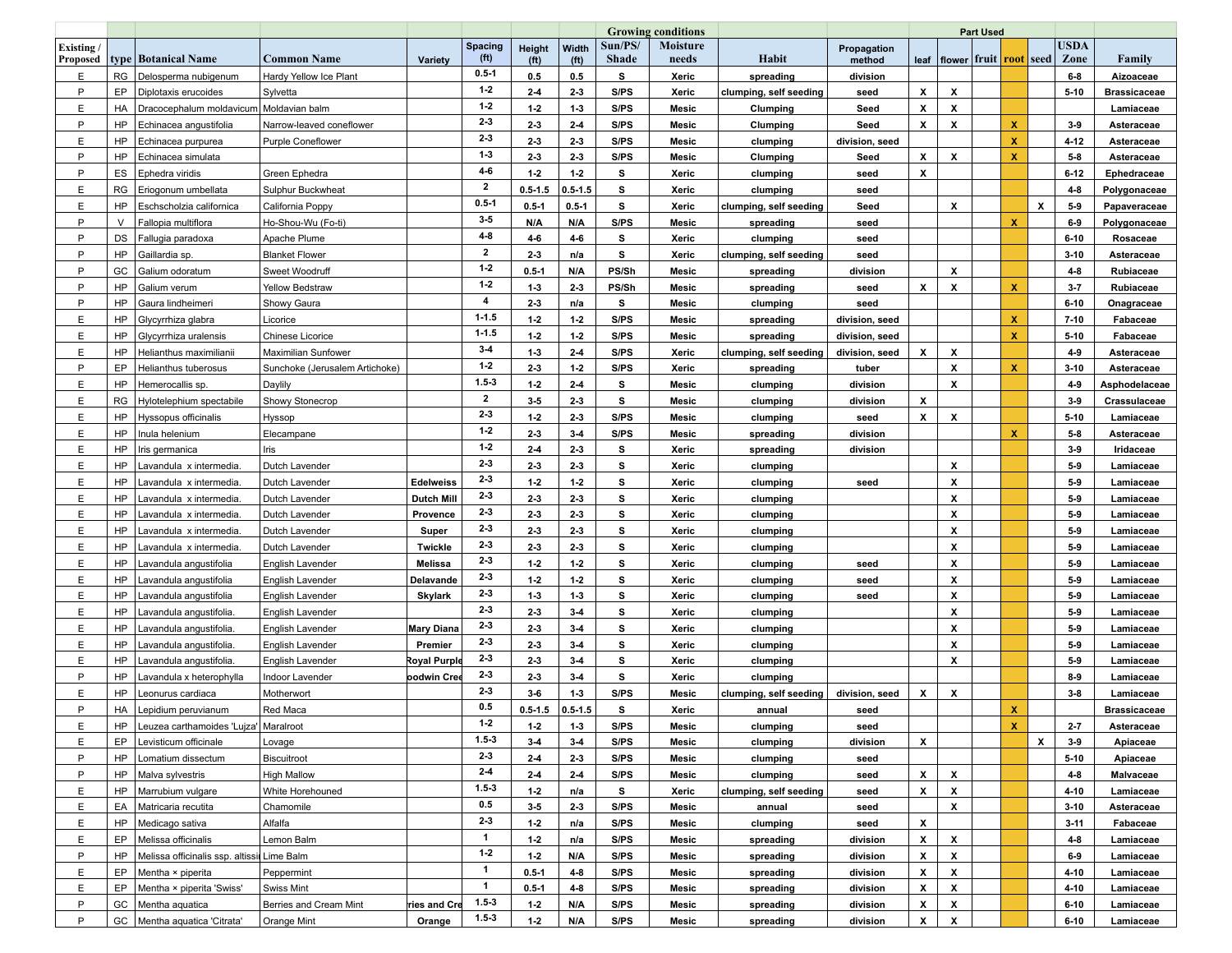|                       |           |                                                                    |                                |                    |                        |                             |                            |                         | <b>Growing conditions</b> |                        |                       | <b>Part Used</b>   |                           |  |              |   |                                                           |                     |
|-----------------------|-----------|--------------------------------------------------------------------|--------------------------------|--------------------|------------------------|-----------------------------|----------------------------|-------------------------|---------------------------|------------------------|-----------------------|--------------------|---------------------------|--|--------------|---|-----------------------------------------------------------|---------------------|
| Existing/<br>Proposed |           | type   Botanical Name                                              | <b>Common Name</b>             | Variety            | <b>Spacing</b><br>(ft) | Height<br>(f <sup>t</sup> ) | Width<br>(f <sup>t</sup> ) | Sun/PS/<br><b>Shade</b> | <b>Moisture</b><br>needs  | Habit                  | Propagation<br>method |                    |                           |  |              |   | <b>USDA</b><br>leaf   flower   fruit   root   seed   Zone | Family              |
| E.                    | <b>RG</b> | Delosperma nubigenum                                               | Hardy Yellow Ice Plant         |                    | $0.5 - 1$              | 0.5                         | 0.5                        | s                       | Xeric                     | spreading              | division              |                    |                           |  |              |   | $6-8$                                                     | Aizoaceae           |
| P                     | EP        | Diplotaxis erucoides                                               | Sylvetta                       |                    | $1-2$                  | $2 - 4$                     | $2 - 3$                    | S/PS                    | Xeric                     | clumping, self seeding | seed                  | x                  | x                         |  |              |   | $5 - 10$                                                  | <b>Brassicaceae</b> |
| E                     | HA        | Dracocephalum moldavicum   Moldavian balm                          |                                |                    | $1-2$                  | 1.2                         | $1-3$                      | S/PS                    | Mesic                     | Clumping               | Seed                  | x                  | X                         |  |              |   |                                                           | Lamiaceae           |
| P                     | HP        | Echinacea angustifolia                                             | Narrow-leaved coneflower       |                    | $2-3$                  | $2-3$                       | $2-4$                      | S/PS                    | Mesic                     | Clumping               | Seed                  | x                  | X                         |  | x            |   | $3-9$                                                     | Asteraceae          |
| E                     | HP        | Echinacea purpurea                                                 | <b>Purple Coneflower</b>       |                    | $2-3$                  | $2-3$                       | $2-3$                      | S/PS                    | Mesic                     | clumping               | division, seed        |                    |                           |  | x            |   | $4 - 12$                                                  | Asteraceae          |
| P                     | <b>HP</b> | Echinacea simulata                                                 |                                |                    | $1-3$                  | $2-3$                       | $2-3$                      | S/PS                    | Mesic                     | Clumping               | Seed                  | X                  | x                         |  | x            |   | $5-8$                                                     | Asteraceae          |
| P                     | ES        | Ephedra viridis                                                    | Green Ephedra                  |                    | $4 - 6$                | $1-2$                       | $1-2$                      | s                       | Xeric                     | clumping               | seed                  | X                  |                           |  |              |   | $6 - 12$                                                  | Ephedraceae         |
| E                     | RG        | Eriogonum umbellata                                                | Sulphur Buckwheat              |                    | $\mathbf{2}$           | $0.5 - 1.5$                 | $0.5 - 1.5$                | s                       | Xeric                     | clumping               | seed                  |                    |                           |  |              |   | $4 - 8$                                                   | Polygonaceae        |
| E                     | HP        | Eschscholzia californica                                           | California Poppy               |                    | $0.5 - 1$              | $0.5 - 1$                   | $0.5 - 1$                  | s                       | Xeric                     | clumping, self seeding | Seed                  |                    | х                         |  |              | X | $5-9$                                                     | Papaveraceae        |
| P                     | $\vee$    | Fallopia multiflora                                                | Ho-Shou-Wu (Fo-ti)             |                    | $3-5$                  | N/A                         | N/A                        | S/PS                    | Mesic                     | spreading              | seed                  |                    |                           |  | $\mathbf{x}$ |   | 6-9                                                       | Polygonaceae        |
| P                     | DS        | Fallugia paradoxa                                                  | Apache Plume                   |                    | $4-8$                  | 4-6                         | $4-6$                      | s                       | Xeric                     | clumping               | seed                  |                    |                           |  |              |   | $6 - 10$                                                  | Rosaceae            |
| P                     | HP        | Gaillardia sp.                                                     | <b>Blanket Flower</b>          |                    | $\mathbf{2}$           | $2-3$                       | n/a                        | s                       | Xeric                     | clumping, self seeding | seed                  |                    |                           |  |              |   | $3 - 10$                                                  | Asteraceae          |
| P                     | GC        | Galium odoratum                                                    | Sweet Woodruff                 |                    | $1-2$                  | $0.5 - 1$                   | N/A                        | PS/Sh                   | Mesic                     | spreading              | division              |                    | X                         |  |              |   | $4 - 8$                                                   | Rubiaceae           |
| P                     | <b>HP</b> | Galium verum                                                       | <b>Yellow Bedstraw</b>         |                    | $1-2$                  | $1-3$                       | $2-3$                      | PS/Sh                   | Mesic                     | spreading              | seed                  | x                  | X                         |  | $\mathbf{x}$ |   | $3-7$                                                     | Rubiaceae           |
| P                     | HP        | Gaura lindheimeri                                                  | Showy Gaura                    |                    | 4                      | $2 - 3$                     | n/a                        | s                       | Mesic                     | clumping               | seed                  |                    |                           |  |              |   | $6 - 10$                                                  | Onagraceae          |
| E                     | HP        | Glycyrrhiza glabra                                                 | Licorice                       |                    | $1 - 1.5$              | $1-2$                       | $1-2$                      | S/PS                    | Mesic                     | spreading              | division, seed        |                    |                           |  | x            |   | $7 - 10$                                                  | Fabaceae            |
| E                     | HP        | Glycyrrhiza uralensis                                              | Chinese Licorice               |                    | $1 - 1.5$              | $1-2$                       | $1-2$                      | S/PS                    | Mesic                     | spreading              | division, seed        |                    |                           |  | x            |   | $5 - 10$                                                  | Fabaceae            |
| E                     | <b>HP</b> | Helianthus maximilianii                                            | Maximilian Sunfower            |                    | $3-4$                  | $1-3$                       | $2-4$                      | S/PS                    | Xeric                     | clumping, self seeding | division, seed        | x                  | X                         |  |              |   | $4-9$                                                     | Asteraceae          |
| P                     | EP        | Helianthus tuberosus                                               | Sunchoke (Jerusalem Artichoke) |                    | $1-2$                  | $2-3$                       | $1-2$                      | S/PS                    | Xeric                     | spreading              | tuber                 |                    | $\boldsymbol{\mathsf{x}}$ |  | x            |   | $3 - 10$                                                  | Asteraceae          |
| E                     | HP        | Hemerocallis sp.                                                   | Daylily                        |                    | $1.5 - 3$              | $1-2$                       | $2-4$                      | s                       | Mesic                     | clumping               | division              |                    | X                         |  |              |   | $4-9$                                                     | Asphodelaceae       |
| E                     | <b>RG</b> | Hylotelephium spectabile                                           | Showy Stonecrop                |                    | $\mathbf{2}$           | $3-5$                       | 23                         | s                       | Mesic                     | clumping               | division              | x                  |                           |  |              |   | $3-9$                                                     | Crassulaceae        |
| E                     | HP        | Hyssopus officinalis                                               | Hyssop                         |                    | $2-3$                  | $1-2$                       | 23                         | S/PS                    | Mesic                     | clumping               | seed                  | X                  | X                         |  |              |   | $5 - 10$                                                  | Lamiaceae           |
| E                     | HP        | Inula helenium                                                     | Elecampane                     |                    | $1-2$                  | $2-3$                       | $3-4$                      | S/PS                    | Mesic                     | spreading              | division              |                    |                           |  |              |   | $5-8$                                                     | Asteraceae          |
| E                     | HP        | Iris germanica                                                     | Iris                           |                    | $1-2$                  | $2-4$                       | 23                         | s                       | Xeric                     | spreading              | division              |                    |                           |  |              |   | $3-9$                                                     | Iridaceae           |
| E                     | <b>HP</b> | avandula x intermedia.                                             | Dutch Lavender                 |                    | $2-3$                  | $2-3$                       | 23                         | s                       | Xeric                     | clumping               |                       |                    | x                         |  |              |   | $5-9$                                                     | Lamiaceae           |
| E                     | HP        | avandula x intermedia.                                             | Dutch Lavender                 | <b>Edelweiss</b>   | $2 - 3$                | 1.2                         | $1-2$                      | s                       | Xeric                     | clumping               | seed                  |                    | X                         |  |              |   | $5-9$                                                     | Lamiaceae           |
| E                     | <b>HP</b> | avandula x intermedia.                                             | Dutch Lavender                 | <b>Dutch Mill</b>  | $2 - 3$                | $2-3$                       | 23                         | s                       | Xeric                     | clumping               |                       |                    | X                         |  |              |   | $5-9$                                                     | Lamiaceae           |
| E                     | HP        | Lavandula x intermedia.                                            | Dutch Lavender                 | Provence           | 23                     | $2-3$                       | 23                         | s                       | Xeric                     | clumping               |                       |                    | X                         |  |              |   | $5-9$                                                     | Lamiaceae           |
| E                     | HP        | avandula x intermedia.                                             | Dutch Lavender                 | Super              | $2 - 3$                | $2-3$                       | 23                         | s                       | Xeric                     | clumping               |                       |                    | x                         |  |              |   | $5-9$                                                     | Lamiaceae           |
| E.                    | HP        | avandula x intermedia.                                             | Dutch Lavender                 | Twickle            | 23                     | $2-3$                       | $2-3$                      | s                       | Xeric                     | clumping               |                       |                    | X                         |  |              |   | $5-9$                                                     | Lamiaceae           |
| E                     | HP        | Lavandula angustifolia                                             | English Lavender               | <b>Melissa</b>     | 23                     | $1-2$                       | $1-2$                      | s                       | Xeric                     | clumping               | seed                  |                    | X                         |  |              |   | $5-9$                                                     | Lamiaceae           |
| E                     | HP        | Lavandula angustifolia                                             | English Lavender               | Delavande          | 23                     | 1.2                         | $1-2$                      | s                       | Xeric                     | clumping               | seed                  |                    | X                         |  |              |   | $5-9$                                                     | Lamiaceae           |
| E                     | HP        | avandula angustifolia                                              | English Lavender               | <b>Skylark</b>     | $2 - 3$                | $1-3$                       | $1-3$                      | s                       | Xeric                     | clumping               | seed                  |                    | X                         |  |              |   | $5-9$                                                     | Lamiaceae           |
| E                     | HP        | Lavandula angustifolia.                                            | English Lavender               |                    | $2-3$                  | $2 - 3$                     | $3-4$                      | s                       | Xeric                     | clumping               |                       |                    | X                         |  |              |   | $5-9$                                                     | Lamiaceae           |
| E                     | HP        | Lavandula angustifolia                                             | English Lavender               | <b>Mary Diana</b>  | $2 - 3$                | $2 - 3$                     | $3-4$                      | s                       | Xeric                     | clumping               |                       |                    | X                         |  |              |   | $5-9$                                                     | Lamiaceae           |
| E                     | HP        | Lavandula angustifolia                                             | English Lavender               | Premier            | $2-3$                  | $2-3$                       | $3-4$                      | s                       | Xeric                     | clumping               |                       |                    | X                         |  |              |   | $5-9$                                                     | Lamiaceae           |
| E                     | <b>HP</b> | avandula angustifolia.                                             | English Lavender               | Royal Purpl        | $2 - 3$                | $2-3$                       | $3-4$                      | S                       | Xeric                     | clumping               |                       |                    | X                         |  |              |   | $5-9$                                                     | Lamiaceae           |
| P                     | HP        | avandula x heterophylla                                            | Indoor Lavender                | <b>podwin Cree</b> | $2 - 3$                | $2 - 3$                     | $3-4$                      | s                       | Xeric                     | clumping               |                       |                    |                           |  |              |   | 8-9                                                       | Lamiaceae           |
| E                     | <b>HP</b> | eonurus cardiaca                                                   | Motherwort                     |                    | $2-3$                  | $3 - 6$                     | $1-3$                      | S/PS                    | Mesic                     | clumping, self seeding | division, seed        | x                  | X                         |  |              |   | $3-8$                                                     | Lamiaceae           |
| P                     | HA        | epidium peruvianum.                                                | Red Maca                       |                    | 0.5                    | $0.5 - 1.5$                 | $0.5 - 1.5$                | s                       | Xeric                     | annual                 | seed                  |                    |                           |  | x            |   |                                                           | <b>Brassicaceae</b> |
| Е                     | HP        | Leuzea carthamoides 'Lujza'   Maralroot                            |                                |                    | $1 - 2$                | $1-2$                       | $1-3$                      | S/PS                    | Mesic                     | clumping               | seed                  |                    |                           |  | x            |   | 2.7                                                       | Asteraceae          |
| E                     | EP        | Levisticum officinale                                              | Lovage                         |                    | $1.5 - 3$              | $3 - 4$                     | $3-4$                      | S/PS                    | Mesic                     | clumping               | division              | x                  |                           |  |              | X | $3-9$                                                     | Apiaceae            |
| P                     | HP        | Lomatium dissectum                                                 | Biscuitroot                    |                    | $2 - 3$                | $2 - 4$                     | $2-3$                      | S/PS                    | Mesic                     | clumping               | seed                  |                    |                           |  |              |   | $5 - 10$                                                  | Apiaceae            |
| P.                    | HP        | Malva sylvestris                                                   | <b>High Mallow</b>             |                    | $2-4$                  | $2 - 4$                     | $2-4$                      | S/PS                    | Mesic                     | clumping               | seed                  | X                  | X                         |  |              |   | $4 - 8$                                                   | Malvaceae           |
| E.                    | HP        | Marrubium vulgare                                                  | White Horehouned               |                    | $1.5 - 3$              | $1-2$                       | n/a                        | s                       | Xeric                     | clumping, self seeding | seed                  | $\pmb{\chi}$       | X                         |  |              |   | $4 - 10$                                                  | Lamiaceae           |
| E                     | EA        | Matricaria recutita                                                | Chamomile                      |                    | 0.5                    | $3-5$                       | $2 - 3$                    | S/PS                    |                           |                        |                       |                    | $\pmb{\times}$            |  |              |   | $3 - 10$                                                  | Asteraceae          |
| E.                    | HP        | Medicago sativa                                                    | Alfalfa                        |                    | $2-3$                  |                             | n/a                        | S/PS                    | Mesic                     | annual                 | seed                  | X                  |                           |  |              |   | $3 - 11$                                                  | Fabaceae            |
| E.                    | EP        |                                                                    | Lemon Balm                     |                    | 1                      | $1-2$<br>$1-2$              |                            | S/PS                    | Mesic                     | clumping               | seed                  | $\pmb{\mathsf{x}}$ | X                         |  |              |   | $4 - 8$                                                   |                     |
| P                     | HP        | Melissa officinalis<br>Melissa officinalis ssp. altissir Lime Balm |                                |                    | 1.2                    |                             | n/a                        |                         | Mesic                     | spreading              | division              |                    |                           |  |              |   |                                                           | Lamiaceae           |
|                       |           |                                                                    |                                |                    | 1                      | $1-2$                       | N/A                        | S/PS                    | Mesic                     | spreading              | division              | x                  | X                         |  |              |   | $6-9$                                                     | Lamiaceae           |
| E.                    | EP        | Mentha × piperita                                                  | Peppermint                     |                    | $\mathbf{1}$           | $0.5 - 1$                   | $4-8$                      | S/PS                    | Mesic                     | spreading              | division              | x                  | X                         |  |              |   | $4 - 10$                                                  | Lamiaceae           |
| E.                    | EP        | Mentha × piperita 'Swiss'                                          | Swiss Mint                     |                    | $1.5-3$                | $0.5 - 1$                   | $4 - 8$                    | S/PS                    | Mesic                     | spreading              | division              | X                  | X                         |  |              |   | $4 - 10$                                                  | Lamiaceae           |
| P                     | GC        | Mentha aquatica                                                    | Berries and Cream Mint         | ries and Cre       | $1.5-3$                | $1-2$                       | N/A                        | S/PS                    | Mesic                     | spreading              | division              | x                  | X                         |  |              |   | $6 - 10$                                                  | Lamiaceae           |
| P                     | GC        | Mentha aquatica 'Citrata'                                          | Orange Mint                    | Orange             |                        | $1-2$                       | N/A                        | S/PS                    | Mesic                     | spreading              | division              | x                  | X                         |  |              |   | $6 - 10$                                                  | Lamiaceae           |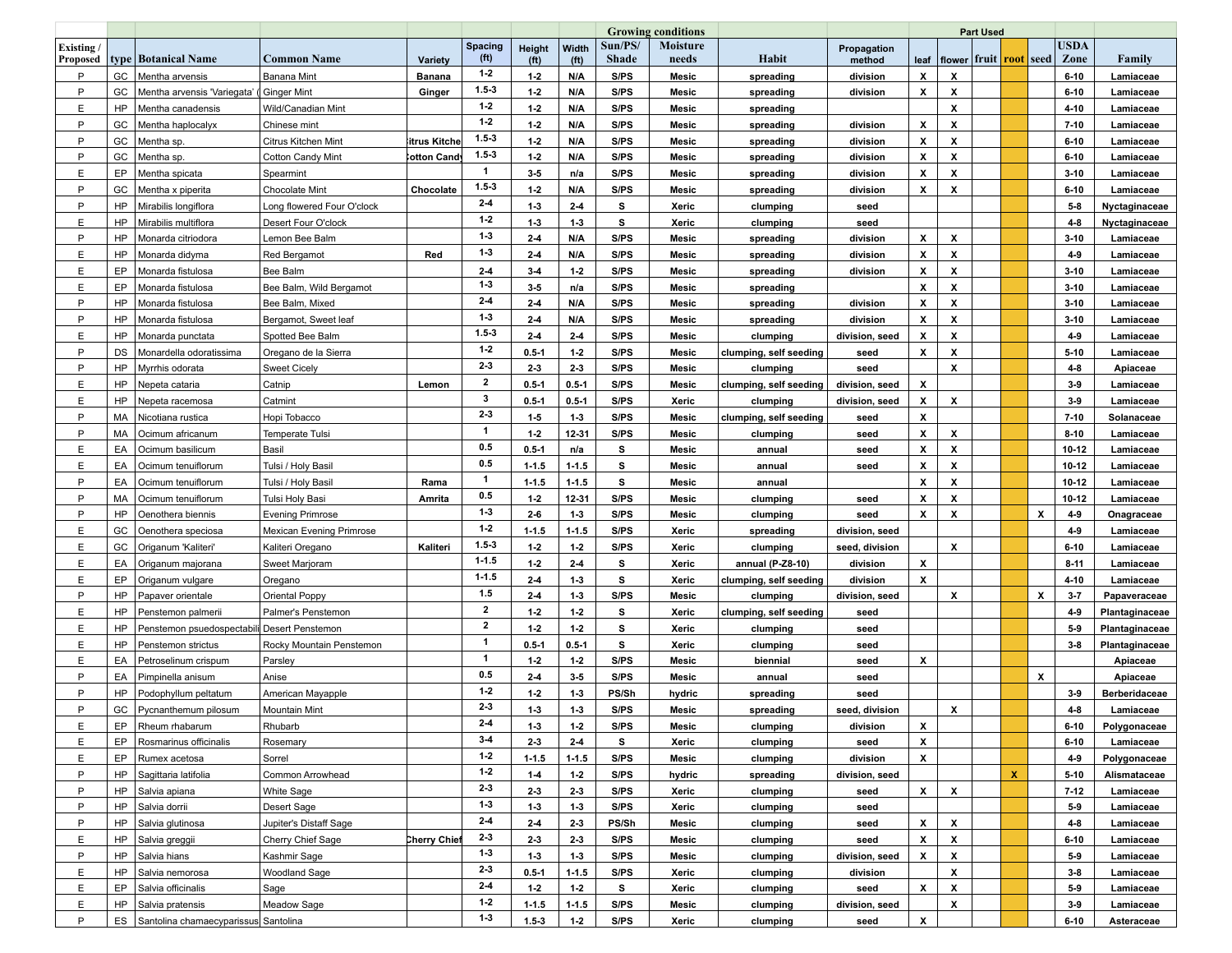|                       |           |                                             |                                 |                    |                        |                             |                            |                         | <b>Growing conditions</b> |                        |                       |                    | <b>Part Used</b>                            |  |                           |                           |                     |                      |
|-----------------------|-----------|---------------------------------------------|---------------------------------|--------------------|------------------------|-----------------------------|----------------------------|-------------------------|---------------------------|------------------------|-----------------------|--------------------|---------------------------------------------|--|---------------------------|---------------------------|---------------------|----------------------|
| Existing/<br>Proposed |           | type   Botanical Name                       | Common Name                     | Variety            | <b>Spacing</b><br>(ft) | Height<br>(f <sup>t</sup> ) | Width<br>(f <sup>t</sup> ) | Sun/PS/<br><b>Shade</b> | <b>Moisture</b><br>needs  | Habit                  | Propagation<br>method |                    | leaf  flower fruit  <mark>root</mark>  seed |  |                           |                           | <b>USDA</b><br>Zone | Family               |
| P                     | GC        | Mentha arvensis                             | <b>Banana Mint</b>              | <b>Banana</b>      | $1 - 2$                | $1-2$                       | N/A                        | S/PS                    | Mesic                     | spreading              | division              | X                  | x                                           |  |                           |                           | $6 - 10$            | Lamiaceae            |
| P                     | GC        | Mentha arvensis 'Variegata'                 | Ginger Mint                     | Ginger             | $1.5 - 3$              | $1-2$                       | N/A                        | S/PS                    | Mesic                     | spreading              | division              | x                  | x                                           |  |                           |                           | $6 - 10$            | Lamiaceae            |
| E                     | HP        | Mentha canadensis                           | Wild/Canadian Mint              |                    | $1-2$                  | $1-2$                       | N/A                        | S/PS                    | Mesic                     | spreading              |                       |                    | x                                           |  |                           |                           | 4-10                | Lamiaceae            |
| P                     | GC        | Mentha haplocalyx                           | Chinese mint                    |                    | $1-2$                  | $1-2$                       | N/A                        | S/PS                    | Mesic                     | spreading              | division              | X                  | X                                           |  |                           |                           | $7 - 10$            | Lamiaceae            |
| P                     | GC        | Mentha sp.                                  | Citrus Kitchen Mint             | itrus Kitche       | $1.5 - 3$              | $1-2$                       | N/A                        | S/PS                    | Mesic                     | spreading              | division              | х                  | X                                           |  |                           |                           | $6 - 10$            | Lamiaceae            |
| P                     | GC        | Mentha sp.                                  | <b>Cotton Candy Mint</b>        | <b>∶otton Cand</b> | $1.5 - 3$              | $1-2$                       | N/A                        | S/PS                    | Mesic                     | spreading              | division              | X                  | X                                           |  |                           |                           | $6 - 10$            | Lamiaceae            |
| E                     | EP        | Mentha spicata                              | Spearmint                       |                    | $\mathbf{1}$           | $3-5$                       | n/a                        | S/PS                    | Mesic                     | spreading              | division              | х                  | x                                           |  |                           |                           | $3 - 10$            | Lamiaceae            |
| P                     | GC        | Mentha x piperita                           | <b>Chocolate Mint</b>           | Chocolate          | $1.5 - 3$              | $1-2$                       | N/A                        | S/PS                    | Mesic                     | spreading              | division              | X                  | X                                           |  |                           |                           | $6 - 10$            | Lamiaceae            |
| P                     | HP        | Mirabilis longiflora                        | Long flowered Four O'clock      |                    | $2-4$                  | $1-3$                       | $2-4$                      | s                       | Xeric                     | clumping               | seed                  |                    |                                             |  |                           |                           | $5-8$               | Nyctaginaceae        |
| E                     | HP        | Mirabilis multiflora                        | Desert Four O'clock             |                    | $1-2$                  | $1-3$                       | $1-3$                      | s                       | Xeric                     | clumping               | seed                  |                    |                                             |  |                           |                           | $4 - 8$             | Nyctaginaceae        |
| P                     | HP        | Monarda citriodora                          | Lemon Bee Balm                  |                    | $1-3$                  | $2-4$                       | N/A                        | S/PS                    | Mesic                     | spreading              | division              | X                  | X                                           |  |                           |                           | $3 - 10$            | Lamiaceae            |
| Ε                     | HP        | Monarda didyma                              | <b>Red Bergamot</b>             | Red                | $1 - 3$                | $2 - 4$                     | N/A                        | S/PS                    | Mesic                     | spreading              | division              | X                  | X                                           |  |                           |                           | 4-9                 | Lamiaceae            |
| E                     | EP        | Monarda fistulosa                           | Bee Balm                        |                    | $2-4$                  | $3 - 4$                     | $1-2$                      | S/PS                    | Mesic                     | spreading              | division              | X                  | x                                           |  |                           |                           | $3 - 10$            | Lamiaceae            |
| E                     | EP        | Monarda fistulosa                           | Bee Balm, Wild Bergamot         |                    | $1-3$                  | $3-5$                       | n/a                        | S/PS                    | Mesic                     | spreading              |                       | X                  | X                                           |  |                           |                           | $3 - 10$            | Lamiaceae            |
| P                     | HP        | Monarda fistulosa                           | Bee Balm, Mixed                 |                    | $2-4$                  | $2-4$                       | N/A                        | S/PS                    | Mesic                     | spreading              | division              | X                  | X                                           |  |                           |                           | $3 - 10$            | Lamiaceae            |
| P                     | HP        | Monarda fistulosa                           | Bergamot, Sweet leaf            |                    | $1-3$                  | $2 - 4$                     | N/A                        | S/PS                    | Mesic                     | spreading              | division              | X                  | X                                           |  |                           |                           | $3 - 10$            | Lamiaceae            |
| E                     | HP        | Monarda punctata                            | Spotted Bee Balm                |                    | $1.5 - 3$              | $2-4$                       | $2-4$                      | S/PS                    | Mesic                     | clumping               | division, seed        | X                  | x                                           |  |                           |                           | $4-9$               | Lamiaceae            |
| P                     | DS        | Monardella odoratissima                     | Oregano de la Sierra            |                    | $1-2$                  | $0.5 - 1$                   | $1-2$                      | S/PS                    | Mesic                     | clumping, self seeding | seed                  | X                  | X                                           |  |                           |                           | $5 - 10$            | Lamiaceae            |
| P                     | HP        | Mvrrhis odorata                             | <b>Sweet Cicely</b>             |                    | $2-3$                  | $2-3$                       | 23                         | S/PS                    | Mesic                     | clumping               | seed                  |                    | X                                           |  |                           |                           | $4 - 8$             | Apiaceae             |
| E                     | <b>HP</b> | Nepeta cataria                              | Catnip                          | Lemon              | $\mathbf{2}$           | $0.5 - 1$                   | $0.5 - 1$                  | S/PS                    | Mesic                     | clumping, self seeding | division, seed        | X                  |                                             |  |                           |                           | $3-9$               | Lamiaceae            |
| E                     | HP        | Nepeta racemosa                             | Catmint                         |                    | 3                      | $0.5 - 1$                   | $0.5 - 1$                  | S/PS                    | Xeric                     | clumping               | division, seed        | X                  | X                                           |  |                           |                           | $3-9$               | Lamiaceae            |
| P                     | MA        | Nicotiana rustica                           | Hopi Tobacco                    |                    | $2-3$                  | $1-5$                       | $1-3$                      | S/PS                    | Mesic                     | clumping, self seeding | seed                  | X                  |                                             |  |                           |                           | $7 - 10$            | Solanaceae           |
| P                     | МA        | Ocimum africanum                            | Temperate Tulsi                 |                    | $\mathbf{1}$           | $1-2$                       | 12-31                      | S/PS                    | Mesic                     | clumping               | seed                  | X                  | X                                           |  |                           |                           | $8 - 10$            | Lamiaceae            |
| E.                    | EA        | Ocimum basilicum                            | Basil                           |                    | 0.5                    | $0.5 - 1$                   | n/a                        | s                       | Mesic                     | annual                 | seed                  | x                  | X                                           |  |                           |                           | 10-12               | Lamiaceae            |
| E                     | EA        | Ocimum tenuiflorum                          | Tulsi / Holy Basil              |                    | 0.5                    | $1 - 1.5$                   | $1 - 1.5$                  | s                       | Mesic                     | annual                 | seed                  | X                  | X                                           |  |                           |                           | 10-12               | Lamiaceae            |
| P                     | EA        | Ocimum tenuiflorum                          | Tulsi / Holy Basil              | Rama               | 1                      | $1 - 1.5$                   | $1 - 1.5$                  | s                       | Mesic                     | annual                 |                       | x                  | X                                           |  |                           |                           | 10-12               | Lamiaceae            |
| P                     | MA        | Ocimum tenuiflorum                          | Tulsi Holy Basi                 | Amrita             | 0.5                    | $1-2$                       | 12-31                      | S/PS                    | Mesic                     | clumping               | seed                  | X                  | X                                           |  |                           |                           | $10 - 12$           | Lamiaceae            |
| P                     | HP        | Oenothera biennis                           | <b>Evening Primrose</b>         |                    | $1-3$                  | $2-6$                       | $1-3$                      | S/PS                    | Mesic                     | clumping               | seed                  | X                  | x                                           |  |                           | X                         | $4-9$               | Onagraceae           |
| E                     | GC        | Oenothera speciosa                          | <b>Mexican Evening Primrose</b> |                    | $1-2$                  | $1 - 1.5$                   | $1 - 1.5$                  | S/PS                    | Xeric                     | spreading              | division, seed        |                    |                                             |  |                           |                           | 4-9                 | Lamiaceae            |
| E                     | GC        | Origanum 'Kaliteri'                         | Kaliteri Oregano                | Kaliteri           | $1.5 - 3$              | $1-2$                       | $1-2$                      | S/PS                    | Xeric                     | clumping               | seed, division        |                    | X                                           |  |                           |                           | $6 - 10$            | Lamiaceae            |
| E                     | EA        | Origanum majorana                           | Sweet Marjoram                  |                    | $1 - 1.5$              | $1-2$                       | $2-4$                      | s                       | Xeric                     | annual (P-Z8-10)       | division              | X                  |                                             |  |                           |                           | $8 - 11$            | Lamiaceae            |
| E                     | EP        | Origanum vulgare                            | Oregano                         |                    | $1 - 1.5$              | $2-4$                       | $1-3$                      | s                       | Xeric                     | clumping, self seeding | division              | X                  |                                             |  |                           |                           | $4 - 10$            | Lamiaceae            |
| P                     | HP        | Papaver orientale                           | Oriental Poppy                  |                    | 1.5                    | $2-4$                       | $1-3$                      | S/PS                    | Mesic                     | clumping               | division, seed        |                    | X                                           |  |                           | $\boldsymbol{\mathsf{x}}$ | $3 - 7$             | Papaveraceae         |
| E.                    | HP        | Penstemon palmerii                          | Palmer's Penstemon              |                    | $\mathbf{2}$           | $1-2$                       | $1-2$                      | s                       | Xeric                     | clumping, self seeding | seed                  |                    |                                             |  |                           |                           | 4-9                 | Plantaginaceae       |
| E                     | HP        | Penstemon psuedospectabili Desert Penstemon |                                 |                    | $\mathbf{2}$           | $1-2$                       | $1-2$                      | s                       | Xeric                     | clumping               | seed                  |                    |                                             |  |                           |                           | $5-9$               | Plantaginaceae       |
| E                     | HP        | Penstemon strictus                          | Rocky Mountain Penstemon        |                    | $\overline{1}$         | $0.5 - 1$                   | $0.5 - 1$                  | s                       | Xeric                     | clumping               | seed                  |                    |                                             |  |                           |                           | $3 - 8$             | Plantaginaceae       |
| E                     | EA        | Petroselinum crispum                        | Parsley                         |                    | 1                      | $1-2$                       | $1-2$                      | S/PS                    | Mesic                     | biennial               | seed                  | X                  |                                             |  |                           |                           |                     | Apiaceae             |
| P                     | EA        | Pimpinella anisum                           | Anise                           |                    | 0.5                    | $2-4$                       | $3-5$                      | S/PS                    | Mesic                     | annual                 | seed                  |                    |                                             |  |                           | X                         |                     | Apiaceae             |
| P                     | <b>HP</b> | Podophyllum peltatum                        | American Mayapple               |                    | $1-2$                  | $1-2$                       | $1-3$                      | PS/Sh                   | hydric                    | spreading              | seed                  |                    |                                             |  |                           |                           | $3-9$               | <b>Berberidaceae</b> |
| P                     | GC        | Pycnanthemum pilosum                        | <b>Mountain Mint</b>            |                    | $2-3$                  | $1-3$                       | $1-3$                      | S/PS                    | Mesic                     | spreading              | seed, division        |                    | x                                           |  |                           |                           | $4-8$               | Lamiaceae            |
| Ε                     | EP        | Rheum rhabarum                              | Rhubarb                         |                    | 2-4                    | $1-3$                       | $1-2$                      | S/PS                    | Mesic                     | clumping               | division              | X                  |                                             |  |                           |                           | $6 - 10$            | Polygonaceae         |
| E                     | EP        | Rosmarinus officinalis                      | Rosemary                        |                    | $3-4$                  | $2-3$                       | $2-4$                      | s                       | Xeric                     | clumping               | seed                  | $\pmb{\chi}$       |                                             |  |                           |                           | $6 - 10$            | Lamiaceae            |
| E                     | EP        | Rumex acetosa                               | Sorrel                          |                    | $1-2$                  | $1 - 1.5$                   | $1 - 1.5$                  | S/PS                    | Mesic                     | clumping               | division              | $\pmb{\mathsf{x}}$ |                                             |  |                           |                           | 4-9                 | Polygonaceae         |
| P                     | HP        | Sagittaria latifolia                        | Common Arrowhead                |                    | $1-2$                  | $1 - 4$                     | $1-2$                      | S/PS                    | hydric                    | spreading              | division, seed        |                    |                                             |  | $\boldsymbol{\mathsf{x}}$ |                           | $5 - 10$            | Alismataceae         |
| P                     | HP        | Salvia apiana                               | White Sage                      |                    | $2-3$                  | $2-3$                       | $2-3$                      | S/PS                    | Xeric                     | clumping               |                       | $\pmb{\chi}$       | x                                           |  |                           |                           | $7-12$              | Lamiaceae            |
| P                     | HP        | Salvia dorrii                               |                                 |                    | $1 - 3$                |                             | $1 - 3$                    | S/PS                    |                           |                        | seed                  |                    |                                             |  |                           |                           |                     |                      |
| P                     | <b>HP</b> |                                             | Desert Sage                     |                    | $2-4$                  | $1-3$                       |                            |                         | Xeric                     | clumping               | seed                  | X                  | X                                           |  |                           |                           | $5-9$<br>$4-8$      | Lamiaceae            |
| E.                    | HP        | Salvia glutinosa                            | Jupiter's Distaff Sage          |                    | $2 - 3$                | $2 - 4$                     | $2-3$                      | PS/Sh                   | Mesic                     | clumping               | seed                  | X                  | x                                           |  |                           |                           | $6 - 10$            | Lamiaceae            |
|                       |           | Salvia greggii                              | Cherry Chief Sage               | Cherry Chief       | $1-3$                  | $2 - 3$                     | $2-3$                      | S/PS                    | Mesic                     | clumping               | seed                  |                    |                                             |  |                           |                           |                     | Lamiaceae            |
| P                     | HP        | Salvia hians                                | Kashmir Sage                    |                    | $2 - 3$                | $1-3$                       | $1 - 3$                    | S/PS                    | Mesic                     | clumping               | division, seed        | x                  | x                                           |  |                           |                           | $5-9$               | Lamiaceae            |
| E                     | HP        | Salvia nemorosa                             | Woodland Sage                   |                    | $2-4$                  | $0.5 - 1$                   | $1 - 1.5$                  | S/PS                    | Xeric                     | clumping               | division              |                    | x                                           |  |                           |                           | $3-8$               | Lamiaceae            |
| E.                    | EP        | Salvia officinalis                          | Sage                            |                    | $1-2$                  | $1-2$                       | $1-2$                      | s                       | Xeric                     | clumping               | seed                  | X                  | x                                           |  |                           |                           | $5-9$               | Lamiaceae            |
| E.                    | HP        | Salvia pratensis                            | Meadow Sage                     |                    | $1 - 3$                | $1 - 1.5$                   | $1 - 1.5$                  | S/PS                    | Mesic                     | clumping               | division, seed        |                    | X                                           |  |                           |                           | $3-9$               | Lamiaceae            |
| P                     |           | ES Santolina chamaecyparissus Santolina     |                                 |                    |                        | $1.5 - 3$                   | $1-2$                      | S/PS                    | Xeric                     | clumping               | seed                  | X                  |                                             |  |                           |                           | $6 - 10$            | Asteraceae           |